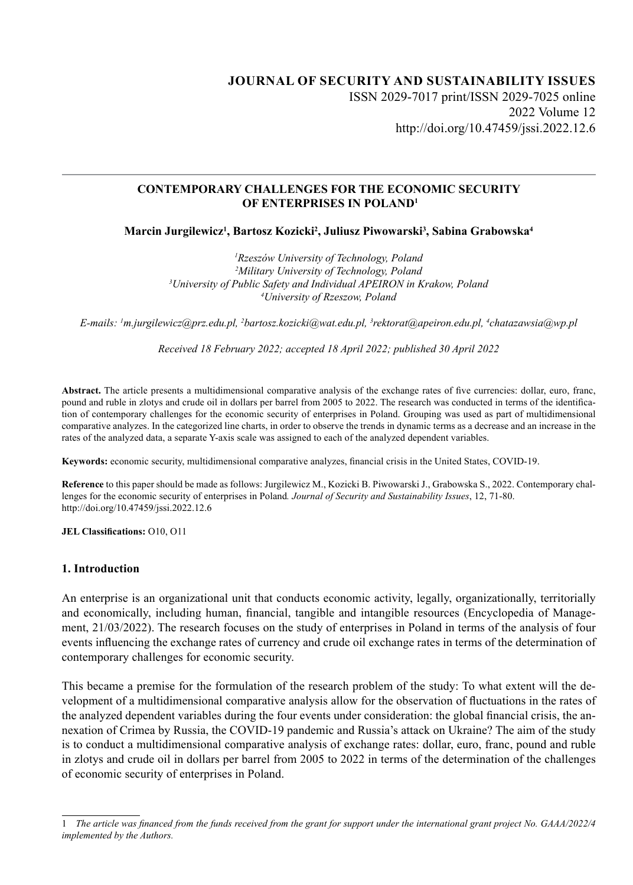# **JOURNAL OF SECURITY AND SUSTAINABILITY ISSUES** ISSN 2029-7017 print/ISSN 2029-7025 online 2022 Volume 12 http://doi.org/10.47459/jssi.2022.12.6

### **CONTEMPORARY CHALLENGES FOR THE ECONOMIC SECURITY OF ENTERPRISES IN POLAND1**

**Marcin Jurgilewicz1 , Bartosz Kozicki2 , Juliusz Piwowarski3 , Sabina Grabowska4**

 *Rzeszów University of Technology, Poland Military University of Technology, Poland University of Public Safety and Individual APEIRON in Krakow, Poland University of Rzeszow, Poland*

*E-mails: 1 m.jurgilewicz@prz.edu.pl, 2 bartosz.kozicki@wat.edu.pl, 3 rektorat@apeiron.edu.pl, 4 chatazawsia@wp.pl*

*Received 18 February 2022; accepted 18 April 2022; published 30 April 2022*

**Abstract.** The article presents a multidimensional comparative analysis of the exchange rates of five currencies: dollar, euro, franc, pound and ruble in zlotys and crude oil in dollars per barrel from 2005 to 2022. The research was conducted in terms of the identification of contemporary challenges for the economic security of enterprises in Poland. Grouping was used as part of multidimensional comparative analyzes. In the categorized line charts, in order to observe the trends in dynamic terms as a decrease and an increase in the rates of the analyzed data, a separate Y-axis scale was assigned to each of the analyzed dependent variables.

**Keywords:** economic security, multidimensional comparative analyzes, financial crisis in the United States, COVID-19.

**Reference** to this paper should be made as follows: Jurgilewicz M., Kozicki B. Piwowarski J., Grabowska S., 2022. Contemporary challenges for the economic security of enterprises in Poland*. Journal of Security and Sustainability Issues*, 12, 71-80. http://doi.org/10.47459/jssi.2022.12.6

**JEL Classifications:** O10, O11

#### **1. Introduction**

An enterprise is an organizational unit that conducts economic activity, legally, organizationally, territorially and economically, including human, financial, tangible and intangible resources (Encyclopedia of Management, 21/03/2022). The research focuses on the study of enterprises in Poland in terms of the analysis of four events influencing the exchange rates of currency and crude oil exchange rates in terms of the determination of contemporary challenges for economic security.

This became a premise for the formulation of the research problem of the study: To what extent will the development of a multidimensional comparative analysis allow for the observation of fluctuations in the rates of the analyzed dependent variables during the four events under consideration: the global financial crisis, the annexation of Crimea by Russia, the COVID-19 pandemic and Russia's attack on Ukraine? The aim of the study is to conduct a multidimensional comparative analysis of exchange rates: dollar, euro, franc, pound and ruble in zlotys and crude oil in dollars per barrel from 2005 to 2022 in terms of the determination of the challenges of economic security of enterprises in Poland.

<sup>1</sup> *The article was financed from the funds received from the grant for support under the international grant project No. GAAA/2022/4 implemented by the Authors.*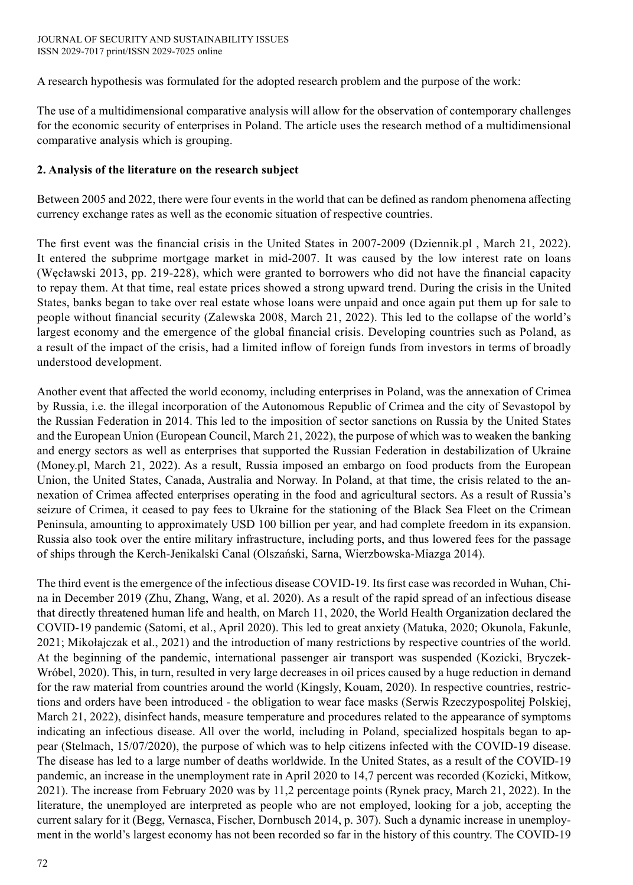A research hypothesis was formulated for the adopted research problem and the purpose of the work:

The use of a multidimensional comparative analysis will allow for the observation of contemporary challenges for the economic security of enterprises in Poland. The article uses the research method of a multidimensional comparative analysis which is grouping.

### **2. Analysis of the literature on the research subject**

Between 2005 and 2022, there were four events in the world that can be defined as random phenomena affecting currency exchange rates as well as the economic situation of respective countries.

The first event was the financial crisis in the United States in 2007-2009 (Dziennik.pl , March 21, 2022). It entered the subprime mortgage market in mid-2007. It was caused by the low interest rate on loans (Węcławski 2013, pp. 219-228), which were granted to borrowers who did not have the financial capacity to repay them. At that time, real estate prices showed a strong upward trend. During the crisis in the United States, banks began to take over real estate whose loans were unpaid and once again put them up for sale to people without financial security (Zalewska 2008, March 21, 2022). This led to the collapse of the world's largest economy and the emergence of the global financial crisis. Developing countries such as Poland, as a result of the impact of the crisis, had a limited inflow of foreign funds from investors in terms of broadly understood development.

Another event that affected the world economy, including enterprises in Poland, was the annexation of Crimea by Russia, i.e. the illegal incorporation of the Autonomous Republic of Crimea and the city of Sevastopol by the Russian Federation in 2014. This led to the imposition of sector sanctions on Russia by the United States and the European Union (European Council, March 21, 2022), the purpose of which was to weaken the banking and energy sectors as well as enterprises that supported the Russian Federation in destabilization of Ukraine (Money.pl, March 21, 2022). As a result, Russia imposed an embargo on food products from the European Union, the United States, Canada, Australia and Norway. In Poland, at that time, the crisis related to the annexation of Crimea affected enterprises operating in the food and agricultural sectors. As a result of Russia's seizure of Crimea, it ceased to pay fees to Ukraine for the stationing of the Black Sea Fleet on the Crimean Peninsula, amounting to approximately USD 100 billion per year, and had complete freedom in its expansion. Russia also took over the entire military infrastructure, including ports, and thus lowered fees for the passage of ships through the Kerch-Jenikalski Canal (Olszański, Sarna, Wierzbowska-Miazga 2014).

The third event is the emergence of the infectious disease COVID-19. Its first case was recorded in Wuhan, China in December 2019 (Zhu, Zhang, Wang, et al. 2020). As a result of the rapid spread of an infectious disease that directly threatened human life and health, on March 11, 2020, the World Health Organization declared the COVID-19 pandemic (Satomi, et al., April 2020). This led to great anxiety (Matuka, 2020; Okunola, Fakunle, 2021; Mikołajczak et al., 2021) and the introduction of many restrictions by respective countries of the world. At the beginning of the pandemic, international passenger air transport was suspended (Kozicki, Bryczek-Wróbel, 2020). This, in turn, resulted in very large decreases in oil prices caused by a huge reduction in demand for the raw material from countries around the world (Kingsly, Kouam, 2020). In respective countries, restrictions and orders have been introduced - the obligation to wear face masks (Serwis Rzeczypospolitej Polskiej, March 21, 2022), disinfect hands, measure temperature and procedures related to the appearance of symptoms indicating an infectious disease. All over the world, including in Poland, specialized hospitals began to appear (Stelmach, 15/07/2020), the purpose of which was to help citizens infected with the COVID-19 disease. The disease has led to a large number of deaths worldwide. In the United States, as a result of the COVID-19 pandemic, an increase in the unemployment rate in April 2020 to 14,7 percent was recorded (Kozicki, Mitkow, 2021). The increase from February 2020 was by 11,2 percentage points (Rynek pracy, March 21, 2022). In the literature, the unemployed are interpreted as people who are not employed, looking for a job, accepting the current salary for it (Begg, Vernasca, Fischer, Dornbusch 2014, p. 307). Such a dynamic increase in unemployment in the world's largest economy has not been recorded so far in the history of this country. The COVID-19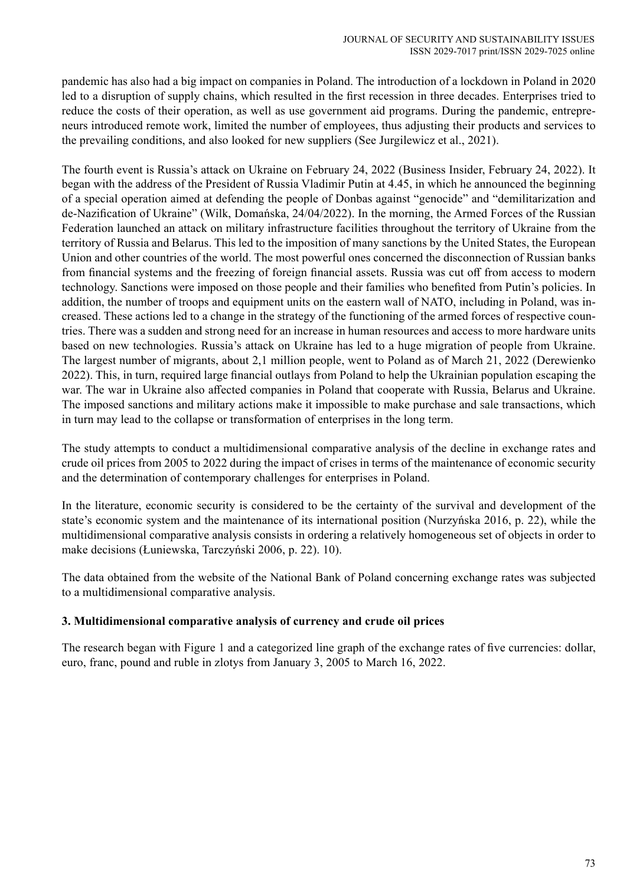pandemic has also had a big impact on companies in Poland. The introduction of a lockdown in Poland in 2020 led to a disruption of supply chains, which resulted in the first recession in three decades. Enterprises tried to reduce the costs of their operation, as well as use government aid programs. During the pandemic, entrepreneurs introduced remote work, limited the number of employees, thus adjusting their products and services to the prevailing conditions, and also looked for new suppliers (See Jurgilewicz et al., 2021).

The fourth event is Russia's attack on Ukraine on February 24, 2022 (Business Insider, February 24, 2022). It began with the address of the President of Russia Vladimir Putin at 4.45, in which he announced the beginning of a special operation aimed at defending the people of Donbas against "genocide" and "demilitarization and de-Nazification of Ukraine" (Wilk, Domańska, 24/04/2022). In the morning, the Armed Forces of the Russian Federation launched an attack on military infrastructure facilities throughout the territory of Ukraine from the territory of Russia and Belarus. This led to the imposition of many sanctions by the United States, the European Union and other countries of the world. The most powerful ones concerned the disconnection of Russian banks from financial systems and the freezing of foreign financial assets. Russia was cut off from access to modern technology. Sanctions were imposed on those people and their families who benefited from Putin's policies. In addition, the number of troops and equipment units on the eastern wall of NATO, including in Poland, was increased. These actions led to a change in the strategy of the functioning of the armed forces of respective countries. There was a sudden and strong need for an increase in human resources and access to more hardware units based on new technologies. Russia's attack on Ukraine has led to a huge migration of people from Ukraine. The largest number of migrants, about 2,1 million people, went to Poland as of March 21, 2022 (Derewienko 2022). This, in turn, required large financial outlays from Poland to help the Ukrainian population escaping the war. The war in Ukraine also affected companies in Poland that cooperate with Russia, Belarus and Ukraine. The imposed sanctions and military actions make it impossible to make purchase and sale transactions, which in turn may lead to the collapse or transformation of enterprises in the long term.

The study attempts to conduct a multidimensional comparative analysis of the decline in exchange rates and crude oil prices from 2005 to 2022 during the impact of crises in terms of the maintenance of economic security and the determination of contemporary challenges for enterprises in Poland.

In the literature, economic security is considered to be the certainty of the survival and development of the state's economic system and the maintenance of its international position (Nurzyńska 2016, p. 22), while the multidimensional comparative analysis consists in ordering a relatively homogeneous set of objects in order to make decisions (Łuniewska, Tarczyński 2006, p. 22). 10).

The data obtained from the website of the National Bank of Poland concerning exchange rates was subjected to a multidimensional comparative analysis.

## **3. Multidimensional comparative analysis of currency and crude oil prices**

The research began with Figure 1 and a categorized line graph of the exchange rates of five currencies: dollar, euro, franc, pound and ruble in zlotys from January 3, 2005 to March 16, 2022.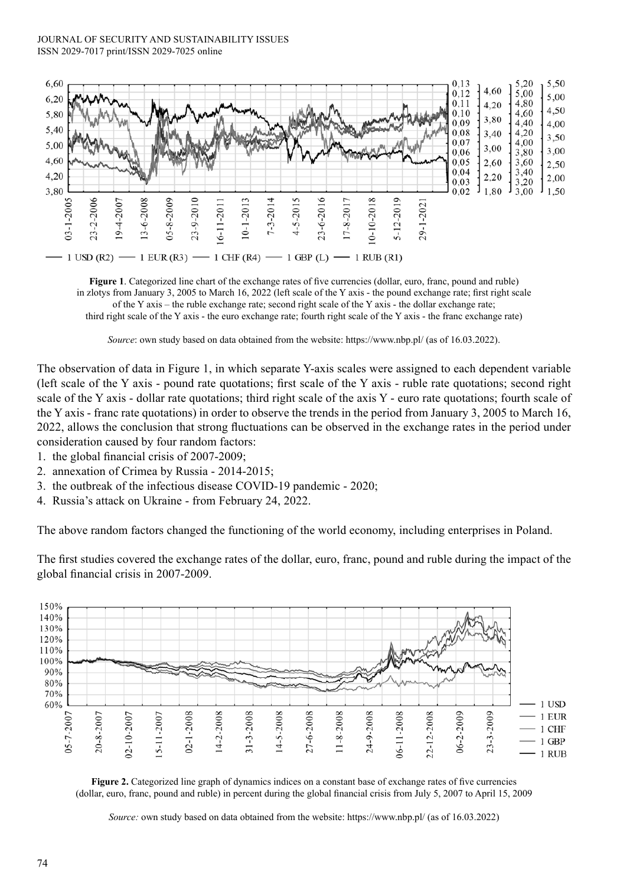#### JOURNAL OF SECURITY AND SUSTAINABILITY ISSUES ISSN 2029-7017 print/ISSN 2029-7025 online



**Figure 1**. Categorized line chart of the exchange rates of five currencies (dollar, euro, franc, pound and ruble) in zlotys from January 3, 2005 to March 16, 2022 (left scale of the Y axis - the pound exchange rate; first right scale of the Y axis – the ruble exchange rate; second right scale of the Y axis - the dollar exchange rate; third right scale of the Y axis - the euro exchange rate; fourth right scale of the Y axis - the franc exchange rate)

*Source*: own study based on data obtained from the website: https://www.nbp.pl/ (as of 16.03.2022).

The observation of data in Figure 1, in which separate Y-axis scales were assigned to each dependent variable (left scale of the Y axis - pound rate quotations; first scale of the Y axis - ruble rate quotations; second right scale of the Y axis - dollar rate quotations; third right scale of the axis Y - euro rate quotations; fourth scale of the Y axis - franc rate quotations) in order to observe the trends in the period from January 3, 2005 to March 16, 2022, allows the conclusion that strong fluctuations can be observed in the exchange rates in the period under consideration caused by four random factors:

- 1. the global financial crisis of 2007-2009;
- 2. annexation of Crimea by Russia 2014-2015;
- 3. the outbreak of the infectious disease COVID-19 pandemic 2020;
- 4. Russia's attack on Ukraine from February 24, 2022.

The above random factors changed the functioning of the world economy, including enterprises in Poland.

The first studies covered the exchange rates of the dollar, euro, franc, pound and ruble during the impact of the global financial crisis in 2007-2009.



**Figure 2.** Categorized line graph of dynamics indices on a constant base of exchange rates of five currencies (dollar, euro, franc, pound and ruble) in percent during the global financial crisis from July 5, 2007 to April 15, 2009

*Source:* own study based on data obtained from the website: https://www.nbp.pl/ (as of 16.03.2022)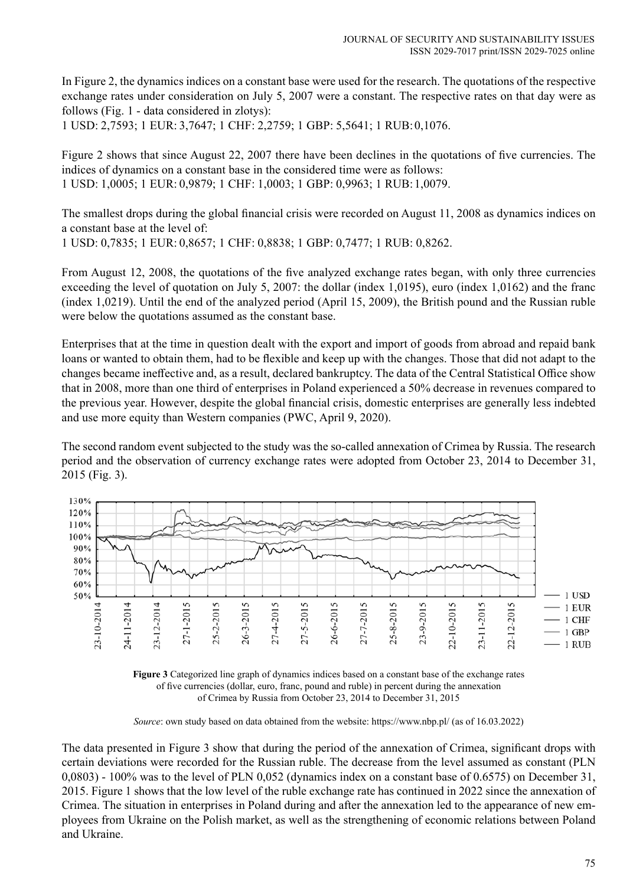In Figure 2, the dynamics indices on a constant base were used for the research. The quotations of the respective exchange rates under consideration on July 5, 2007 were a constant. The respective rates on that day were as follows (Fig. 1 - data considered in zlotys):

1 USD: 2,7593; 1 EUR: 3,7647; 1 CHF: 2,2759; 1 GBP: 5,5641; 1 RUB:0,1076.

Figure 2 shows that since August 22, 2007 there have been declines in the quotations of five currencies. The indices of dynamics on a constant base in the considered time were as follows: 1 USD: 1,0005; 1 EUR: 0,9879; 1 CHF: 1,0003; 1 GBP: 0,9963; 1 RUB:1,0079.

The smallest drops during the global financial crisis were recorded on August 11, 2008 as dynamics indices on a constant base at the level of:

1 USD: 0,7835; 1 EUR: 0,8657; 1 CHF: 0,8838; 1 GBP: 0,7477; 1 RUB: 0,8262.

From August 12, 2008, the quotations of the five analyzed exchange rates began, with only three currencies exceeding the level of quotation on July 5, 2007: the dollar (index 1,0195), euro (index 1,0162) and the franc (index 1,0219). Until the end of the analyzed period (April 15, 2009), the British pound and the Russian ruble were below the quotations assumed as the constant base.

Enterprises that at the time in question dealt with the export and import of goods from abroad and repaid bank loans or wanted to obtain them, had to be flexible and keep up with the changes. Those that did not adapt to the changes became ineffective and, as a result, declared bankruptcy. The data of the Central Statistical Office show that in 2008, more than one third of enterprises in Poland experienced a 50% decrease in revenues compared to the previous year. However, despite the global financial crisis, domestic enterprises are generally less indebted and use more equity than Western companies (PWC, April 9, 2020).

The second random event subjected to the study was the so-called annexation of Crimea by Russia. The research period and the observation of currency exchange rates were adopted from October 23, 2014 to December 31, 2015 (Fig. 3).





*Source*: own study based on data obtained from the website: https://www.nbp.pl/ (as of 16.03.2022)

The data presented in Figure 3 show that during the period of the annexation of Crimea, significant drops with certain deviations were recorded for the Russian ruble. The decrease from the level assumed as constant (PLN 0,0803) - 100% was to the level of PLN 0,052 (dynamics index on a constant base of 0.6575) on December 31, 2015. Figure 1 shows that the low level of the ruble exchange rate has continued in 2022 since the annexation of Crimea. The situation in enterprises in Poland during and after the annexation led to the appearance of new employees from Ukraine on the Polish market, as well as the strengthening of economic relations between Poland and Ukraine.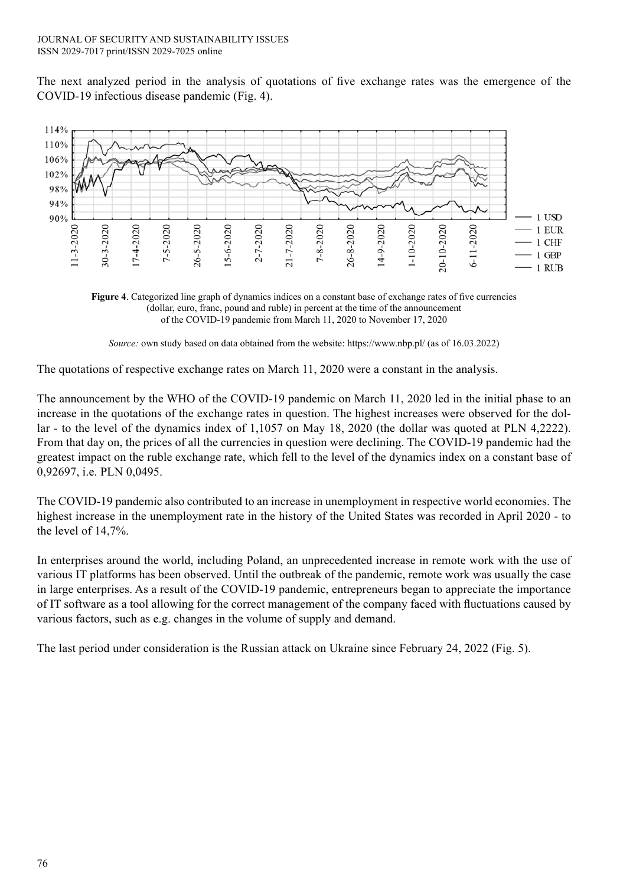The next analyzed period in the analysis of quotations of five exchange rates was the emergence of the COVID-19 infectious disease pandemic (Fig. 4).



**Figure 4**. Categorized line graph of dynamics indices on a constant base of exchange rates of five currencies (dollar, euro, franc, pound and ruble) in percent at the time of the announcement of the COVID-19 pandemic from March 11, 2020 to November 17, 2020

*Source:* own study based on data obtained from the website: https://www.nbp.pl/ (as of 16.03.2022)

The quotations of respective exchange rates on March 11, 2020 were a constant in the analysis.

The announcement by the WHO of the COVID-19 pandemic on March 11, 2020 led in the initial phase to an increase in the quotations of the exchange rates in question. The highest increases were observed for the dollar - to the level of the dynamics index of 1,1057 on May 18, 2020 (the dollar was quoted at PLN 4,2222). From that day on, the prices of all the currencies in question were declining. The COVID-19 pandemic had the greatest impact on the ruble exchange rate, which fell to the level of the dynamics index on a constant base of 0,92697, i.e. PLN 0,0495.

The COVID-19 pandemic also contributed to an increase in unemployment in respective world economies. The highest increase in the unemployment rate in the history of the United States was recorded in April 2020 - to the level of 14,7%.

In enterprises around the world, including Poland, an unprecedented increase in remote work with the use of various IT platforms has been observed. Until the outbreak of the pandemic, remote work was usually the case in large enterprises. As a result of the COVID-19 pandemic, entrepreneurs began to appreciate the importance of IT software as a tool allowing for the correct management of the company faced with fluctuations caused by various factors, such as e.g. changes in the volume of supply and demand.

The last period under consideration is the Russian attack on Ukraine since February 24, 2022 (Fig. 5).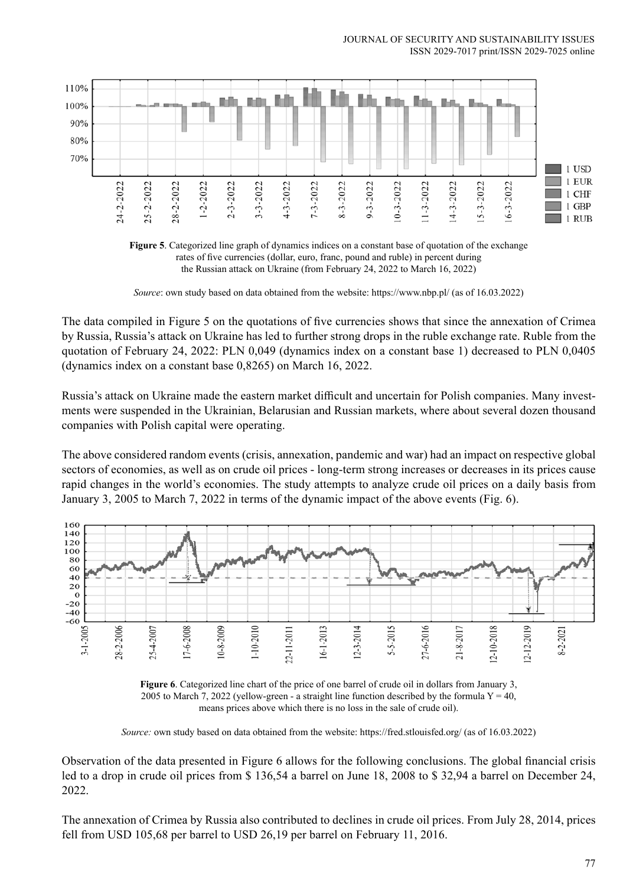



*Source*: own study based on data obtained from the website: https://www.nbp.pl/ (as of 16.03.2022)

The data compiled in Figure 5 on the quotations of five currencies shows that since the annexation of Crimea by Russia, Russia's attack on Ukraine has led to further strong drops in the ruble exchange rate. Ruble from the quotation of February 24, 2022: PLN 0,049 (dynamics index on a constant base 1) decreased to PLN 0,0405 (dynamics index on a constant base 0,8265) on March 16, 2022.

Russia's attack on Ukraine made the eastern market difficult and uncertain for Polish companies. Many investments were suspended in the Ukrainian, Belarusian and Russian markets, where about several dozen thousand companies with Polish capital were operating.

The above considered random events (crisis, annexation, pandemic and war) had an impact on respective global sectors of economies, as well as on crude oil prices - long-term strong increases or decreases in its prices cause rapid changes in the world's economies. The study attempts to analyze crude oil prices on a daily basis from January 3, 2005 to March 7, 2022 in terms of the dynamic impact of the above events (Fig. 6).





*Source:* own study based on data obtained from the website: https://fred.stlouisfed.org/ (as of 16.03.2022)

Observation of the data presented in Figure 6 allows for the following conclusions. The global financial crisis led to a drop in crude oil prices from \$ 136,54 a barrel on June 18, 2008 to \$ 32,94 a barrel on December 24, 2022.

The annexation of Crimea by Russia also contributed to declines in crude oil prices. From July 28, 2014, prices fell from USD 105,68 per barrel to USD 26,19 per barrel on February 11, 2016.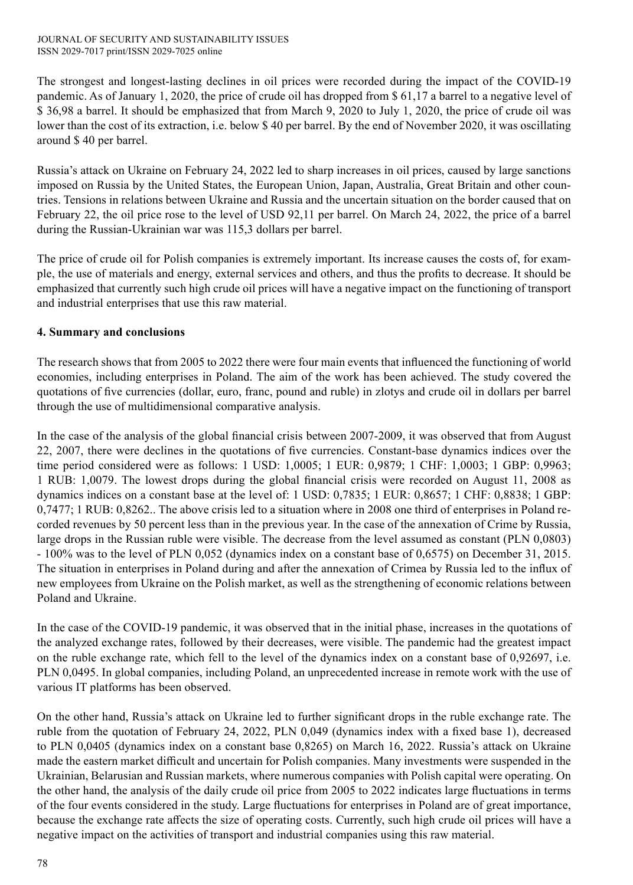The strongest and longest-lasting declines in oil prices were recorded during the impact of the COVID-19 pandemic. As of January 1, 2020, the price of crude oil has dropped from \$ 61,17 a barrel to a negative level of \$ 36,98 a barrel. It should be emphasized that from March 9, 2020 to July 1, 2020, the price of crude oil was lower than the cost of its extraction, i.e. below \$ 40 per barrel. By the end of November 2020, it was oscillating around \$ 40 per barrel.

Russia's attack on Ukraine on February 24, 2022 led to sharp increases in oil prices, caused by large sanctions imposed on Russia by the United States, the European Union, Japan, Australia, Great Britain and other countries. Tensions in relations between Ukraine and Russia and the uncertain situation on the border caused that on February 22, the oil price rose to the level of USD 92,11 per barrel. On March 24, 2022, the price of a barrel during the Russian-Ukrainian war was 115,3 dollars per barrel.

The price of crude oil for Polish companies is extremely important. Its increase causes the costs of, for example, the use of materials and energy, external services and others, and thus the profits to decrease. It should be emphasized that currently such high crude oil prices will have a negative impact on the functioning of transport and industrial enterprises that use this raw material.

# **4. Summary and conclusions**

The research shows that from 2005 to 2022 there were four main events that influenced the functioning of world economies, including enterprises in Poland. The aim of the work has been achieved. The study covered the quotations of five currencies (dollar, euro, franc, pound and ruble) in zlotys and crude oil in dollars per barrel through the use of multidimensional comparative analysis.

In the case of the analysis of the global financial crisis between 2007-2009, it was observed that from August 22, 2007, there were declines in the quotations of five currencies. Constant-base dynamics indices over the time period considered were as follows: 1 USD: 1,0005; 1 EUR: 0,9879; 1 CHF: 1,0003; 1 GBP: 0,9963; 1 RUB: 1,0079. The lowest drops during the global financial crisis were recorded on August 11, 2008 as dynamics indices on a constant base at the level of: 1 USD: 0,7835; 1 EUR: 0,8657; 1 CHF: 0,8838; 1 GBP: 0,7477; 1 RUB: 0,8262.. The above crisis led to a situation where in 2008 one third of enterprises in Poland recorded revenues by 50 percent less than in the previous year. In the case of the annexation of Crime by Russia, large drops in the Russian ruble were visible. The decrease from the level assumed as constant (PLN 0,0803) - 100% was to the level of PLN 0,052 (dynamics index on a constant base of 0,6575) on December 31, 2015. The situation in enterprises in Poland during and after the annexation of Crimea by Russia led to the influx of new employees from Ukraine on the Polish market, as well as the strengthening of economic relations between Poland and Ukraine.

In the case of the COVID-19 pandemic, it was observed that in the initial phase, increases in the quotations of the analyzed exchange rates, followed by their decreases, were visible. The pandemic had the greatest impact on the ruble exchange rate, which fell to the level of the dynamics index on a constant base of 0,92697, i.e. PLN 0,0495. In global companies, including Poland, an unprecedented increase in remote work with the use of various IT platforms has been observed.

On the other hand, Russia's attack on Ukraine led to further significant drops in the ruble exchange rate. The ruble from the quotation of February 24, 2022, PLN 0,049 (dynamics index with a fixed base 1), decreased to PLN 0,0405 (dynamics index on a constant base 0,8265) on March 16, 2022. Russia's attack on Ukraine made the eastern market difficult and uncertain for Polish companies. Many investments were suspended in the Ukrainian, Belarusian and Russian markets, where numerous companies with Polish capital were operating. On the other hand, the analysis of the daily crude oil price from 2005 to 2022 indicates large fluctuations in terms of the four events considered in the study. Large fluctuations for enterprises in Poland are of great importance, because the exchange rate affects the size of operating costs. Currently, such high crude oil prices will have a negative impact on the activities of transport and industrial companies using this raw material.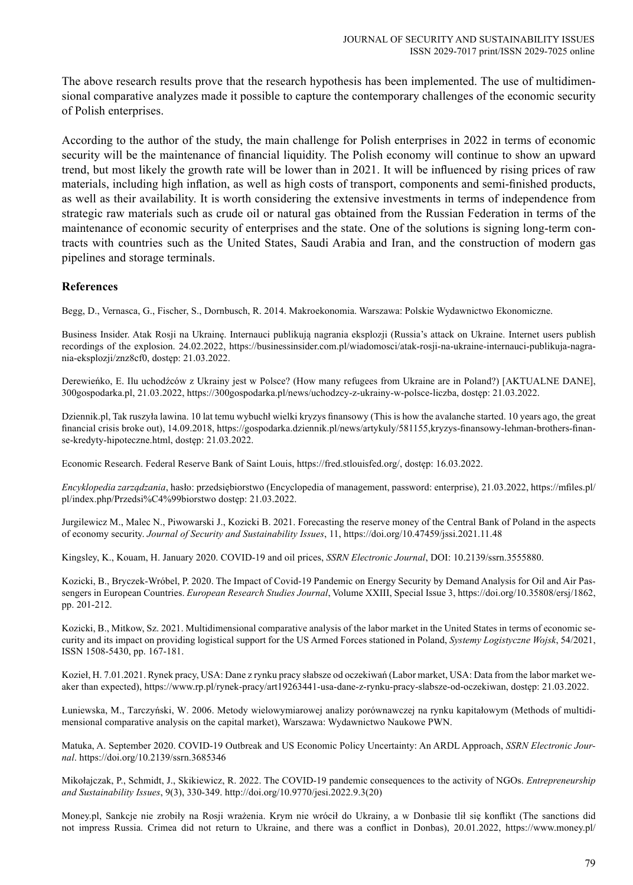The above research results prove that the research hypothesis has been implemented. The use of multidimensional comparative analyzes made it possible to capture the contemporary challenges of the economic security of Polish enterprises.

According to the author of the study, the main challenge for Polish enterprises in 2022 in terms of economic security will be the maintenance of financial liquidity. The Polish economy will continue to show an upward trend, but most likely the growth rate will be lower than in 2021. It will be influenced by rising prices of raw materials, including high inflation, as well as high costs of transport, components and semi-finished products, as well as their availability. It is worth considering the extensive investments in terms of independence from strategic raw materials such as crude oil or natural gas obtained from the Russian Federation in terms of the maintenance of economic security of enterprises and the state. One of the solutions is signing long-term contracts with countries such as the United States, Saudi Arabia and Iran, and the construction of modern gas pipelines and storage terminals.

#### **References**

Begg, D., Vernasca, G., Fischer, S., Dornbusch, R. 2014. Makroekonomia. Warszawa: Polskie Wydawnictwo Ekonomiczne.

Business Insider. Atak Rosji na Ukrainę. Internauci publikują nagrania eksplozji (Russia's attack on Ukraine. Internet users publish recordings of the explosion. 24.02.2022, https://businessinsider.com.pl/wiadomosci/atak-rosji-na-ukraine-internauci-publikuja-nagrania-eksplozji/znz8cf0, dostęp: 21.03.2022.

Derewieńko, E. Ilu uchodźców z Ukrainy jest w Polsce? (How many refugees from Ukraine are in Poland?) [AKTUALNE DANE], 300gospodarka.pl, 21.03.2022, https://300gospodarka.pl/news/uchodzcy-z-ukrainy-w-polsce-liczba, dostęp: 21.03.2022.

Dziennik.pl, Tak ruszyła lawina. 10 lat temu wybuchł wielki kryzys finansowy (This is how the avalanche started. 10 years ago, the great financial crisis broke out), 14.09.2018, https://gospodarka.dziennik.pl/news/artykuly/581155,kryzys-finansowy-lehman-brothers-finanse-kredyty-hipoteczne.html, dostęp: 21.03.2022.

Economic Research. Federal Reserve Bank of Saint Louis, https://fred.stlouisfed.org/, dostęp: 16.03.2022.

*Encyklopedia zarządzania*, hasło: przedsiębiorstwo (Encyclopedia of management, password: enterprise), 21.03.2022, https://mfiles.pl/ pl/index.php/Przedsi%C4%99biorstwo dostęp: 21.03.2022.

Jurgilewicz M., Malec N., Piwowarski J., Kozicki B. 2021. Forecasting the reserve money of the Central Bank of Poland in the aspects of economy security. *Journal of Security and Sustainability Issues*, 11, https://doi.org/10.47459/jssi.2021.11.48

Kingsley, K., Kouam, H. January 2020. COVID-19 and oil prices, *SSRN Electronic Journal*, DOI: 10.2139/ssrn.3555880.

Kozicki, B., Bryczek-Wróbel, P. 2020. The Impact of Covid-19 Pandemic on Energy Security by Demand Analysis for Oil and Air Passengers in European Countries. *European Research Studies Journal*, Volume XXIII, Special Issue 3, https://doi.org/10.35808/ersj/1862, pp. 201-212.

Kozicki, B., Mitkow, Sz. 2021. Multidimensional comparative analysis of the labor market in the United States in terms of economic security and its impact on providing logistical support for the US Armed Forces stationed in Poland, *Systemy Logistyczne Wojsk*, 54/2021, ISSN 1508-5430, pp. 167-181.

Kozieł, H. 7.01.2021. Rynek pracy, USA: Dane z rynku pracy słabsze od oczekiwań (Labor market, USA: Data from the labor market weaker than expected), https://www.rp.pl/rynek-pracy/art19263441-usa-dane-z-rynku-pracy-slabsze-od-oczekiwan, dostęp: 21.03.2022.

Łuniewska, M., Tarczyński, W. 2006. Metody wielowymiarowej analizy porównawczej na rynku kapitałowym (Methods of multidimensional comparative analysis on the capital market), Warszawa: Wydawnictwo Naukowe PWN.

Matuka, A. September 2020. COVID-19 Outbreak and US Economic Policy Uncertainty: An ARDL Approach, *SSRN Electronic Journal*. https://doi.org/10.2139/ssrn.3685346

Mikołajczak, P., Schmidt, J., Skikiewicz, R. 2022. The COVID-19 pandemic consequences to the activity of NGOs. *Entrepreneurship and Sustainability Issues*, 9(3), 330-349. http://doi.org/10.9770/jesi.2022.9.3(20)

Money.pl, Sankcje nie zrobiły na Rosji wrażenia. Krym nie wrócił do Ukrainy, a w Donbasie tlił się konflikt (The sanctions did not impress Russia. Crimea did not return to Ukraine, and there was a conflict in Donbas), 20.01.2022, https://www.money.pl/